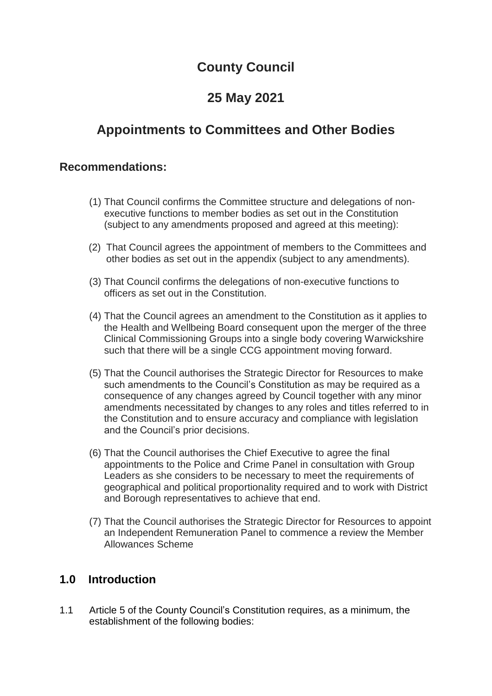# **County Council**

# **25 May 2021**

# **Appointments to Committees and Other Bodies**

## **Recommendations:**

- (1) That Council confirms the Committee structure and delegations of nonexecutive functions to member bodies as set out in the Constitution (subject to any amendments proposed and agreed at this meeting):
- (2) That Council agrees the appointment of members to the Committees and other bodies as set out in the appendix (subject to any amendments).
- (3) That Council confirms the delegations of non-executive functions to officers as set out in the Constitution.
- (4) That the Council agrees an amendment to the Constitution as it applies to the Health and Wellbeing Board consequent upon the merger of the three Clinical Commissioning Groups into a single body covering Warwickshire such that there will be a single CCG appointment moving forward.
- (5) That the Council authorises the Strategic Director for Resources to make such amendments to the Council's Constitution as may be required as a consequence of any changes agreed by Council together with any minor amendments necessitated by changes to any roles and titles referred to in the Constitution and to ensure accuracy and compliance with legislation and the Council's prior decisions.
- (6) That the Council authorises the Chief Executive to agree the final appointments to the Police and Crime Panel in consultation with Group Leaders as she considers to be necessary to meet the requirements of geographical and political proportionality required and to work with District and Borough representatives to achieve that end.
- (7) That the Council authorises the Strategic Director for Resources to appoint an Independent Remuneration Panel to commence a review the Member Allowances Scheme

## **1.0 Introduction**

1.1 Article 5 of the County Council's Constitution requires, as a minimum, the establishment of the following bodies: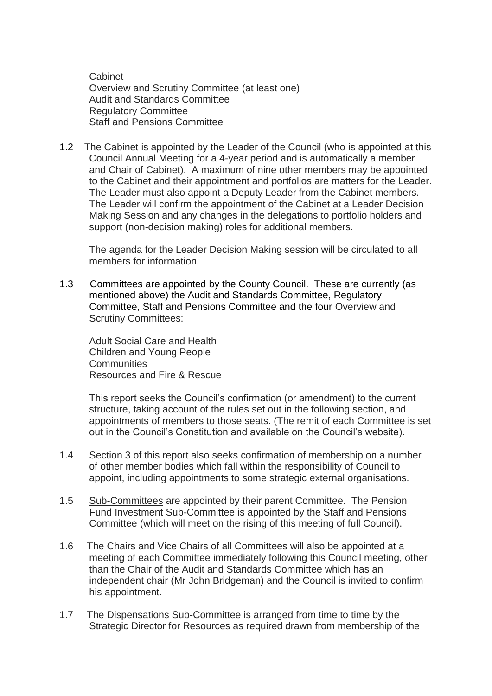Cabinet Overview and Scrutiny Committee (at least one) Audit and Standards Committee Regulatory Committee Staff and Pensions Committee

1.2 The Cabinet is appointed by the Leader of the Council (who is appointed at this Council Annual Meeting for a 4-year period and is automatically a member and Chair of Cabinet). A maximum of nine other members may be appointed to the Cabinet and their appointment and portfolios are matters for the Leader. The Leader must also appoint a Deputy Leader from the Cabinet members. The Leader will confirm the appointment of the Cabinet at a Leader Decision Making Session and any changes in the delegations to portfolio holders and support (non-decision making) roles for additional members.

The agenda for the Leader Decision Making session will be circulated to all members for information.

1.3 Committees are appointed by the County Council. These are currently (as mentioned above) the Audit and Standards Committee, Regulatory Committee, Staff and Pensions Committee and the four Overview and Scrutiny Committees:

Adult Social Care and Health Children and Young People **Communities** Resources and Fire & Rescue

This report seeks the Council's confirmation (or amendment) to the current structure, taking account of the rules set out in the following section, and appointments of members to those seats. (The remit of each Committee is set out in the Council's Constitution and available on the Council's website).

- 1.4 Section 3 of this report also seeks confirmation of membership on a number of other member bodies which fall within the responsibility of Council to appoint, including appointments to some strategic external organisations.
- 1.5 Sub-Committees are appointed by their parent Committee. The Pension Fund Investment Sub-Committee is appointed by the Staff and Pensions Committee (which will meet on the rising of this meeting of full Council).
- 1.6 The Chairs and Vice Chairs of all Committees will also be appointed at a meeting of each Committee immediately following this Council meeting, other than the Chair of the Audit and Standards Committee which has an independent chair (Mr John Bridgeman) and the Council is invited to confirm his appointment.
- 1.7 The Dispensations Sub-Committee is arranged from time to time by the Strategic Director for Resources as required drawn from membership of the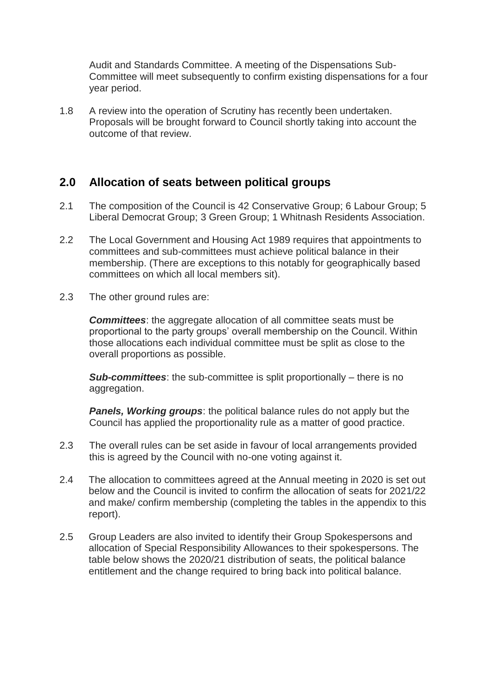Audit and Standards Committee. A meeting of the Dispensations Sub-Committee will meet subsequently to confirm existing dispensations for a four year period.

1.8 A review into the operation of Scrutiny has recently been undertaken. Proposals will be brought forward to Council shortly taking into account the outcome of that review.

## **2.0 Allocation of seats between political groups**

- 2.1 The composition of the Council is 42 Conservative Group; 6 Labour Group; 5 Liberal Democrat Group; 3 Green Group; 1 Whitnash Residents Association.
- 2.2 The Local Government and Housing Act 1989 requires that appointments to committees and sub-committees must achieve political balance in their membership. (There are exceptions to this notably for geographically based committees on which all local members sit).
- 2.3 The other ground rules are:

*Committees*: the aggregate allocation of all committee seats must be proportional to the party groups' overall membership on the Council. Within those allocations each individual committee must be split as close to the overall proportions as possible.

*Sub-committees*: the sub-committee is split proportionally – there is no aggregation.

*Panels, Working groups*: the political balance rules do not apply but the Council has applied the proportionality rule as a matter of good practice.

- 2.3 The overall rules can be set aside in favour of local arrangements provided this is agreed by the Council with no-one voting against it.
- 2.4 The allocation to committees agreed at the Annual meeting in 2020 is set out below and the Council is invited to confirm the allocation of seats for 2021/22 and make/ confirm membership (completing the tables in the appendix to this report).
- 2.5 Group Leaders are also invited to identify their Group Spokespersons and allocation of Special Responsibility Allowances to their spokespersons. The table below shows the 2020/21 distribution of seats, the political balance entitlement and the change required to bring back into political balance.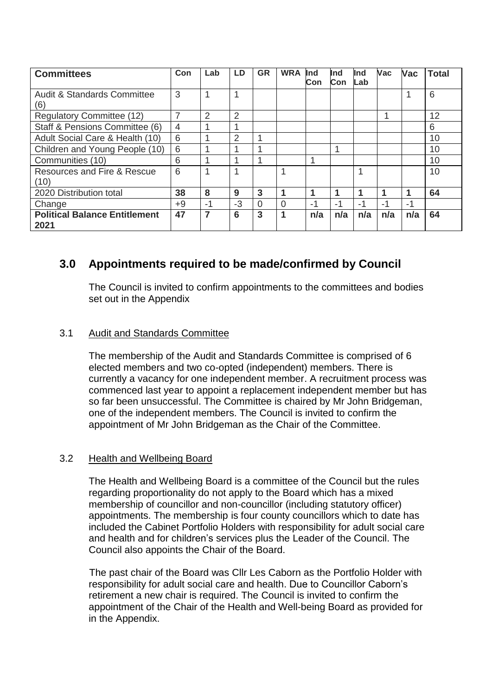| <b>Committees</b>                             | Con  | Lab  | LD.  | <b>GR</b> | <b>WRA</b> | Ind<br>Con | Ind<br>Con | Ind<br>Lab | <b>Vac</b> | Vac  | <b>Total</b> |
|-----------------------------------------------|------|------|------|-----------|------------|------------|------------|------------|------------|------|--------------|
| <b>Audit &amp; Standards Committee</b><br>(6) | 3    | и    |      |           |            |            |            |            |            |      | 6            |
| <b>Regulatory Committee (12)</b>              |      | 2    | 2    |           |            |            |            |            | и          |      | 12           |
| Staff & Pensions Committee (6)                | 4    |      |      |           |            |            |            |            |            |      | 6            |
| Adult Social Care & Health (10)               | 6    |      | 2    |           |            |            |            |            |            |      | 10           |
| Children and Young People (10)                | 6    |      |      |           |            |            |            |            |            |      | 10           |
| Communities (10)                              | 6    |      |      | 4         |            |            |            |            |            |      | 10           |
| Resources and Fire & Rescue                   | 6    | и    |      |           |            |            |            |            |            |      | 10           |
| (10)                                          |      |      |      |           |            |            |            |            |            |      |              |
| 2020 Distribution total                       | 38   | 8    | 9    | 3         |            |            |            |            |            |      | 64           |
| Change                                        | $+9$ | $-1$ | $-3$ | $\Omega$  | $\Omega$   | -1         | -1         | -1         | -1         | $-1$ |              |
| <b>Political Balance Entitlement</b><br>2021  | 47   | 7    | 6    | 3         | 1          | n/a        | n/a        | n/a        | n/a        | n/a  | 64           |

# **3.0 Appointments required to be made/confirmed by Council**

The Council is invited to confirm appointments to the committees and bodies set out in the Appendix

### 3.1 Audit and Standards Committee

The membership of the Audit and Standards Committee is comprised of 6 elected members and two co-opted (independent) members. There is currently a vacancy for one independent member. A recruitment process was commenced last year to appoint a replacement independent member but has so far been unsuccessful. The Committee is chaired by Mr John Bridgeman, one of the independent members. The Council is invited to confirm the appointment of Mr John Bridgeman as the Chair of the Committee.

### 3.2 Health and Wellbeing Board

The Health and Wellbeing Board is a committee of the Council but the rules regarding proportionality do not apply to the Board which has a mixed membership of councillor and non-councillor (including statutory officer) appointments. The membership is four county councillors which to date has included the Cabinet Portfolio Holders with responsibility for adult social care and health and for children's services plus the Leader of the Council. The Council also appoints the Chair of the Board.

The past chair of the Board was Cllr Les Caborn as the Portfolio Holder with responsibility for adult social care and health. Due to Councillor Caborn's retirement a new chair is required. The Council is invited to confirm the appointment of the Chair of the Health and Well-being Board as provided for in the Appendix.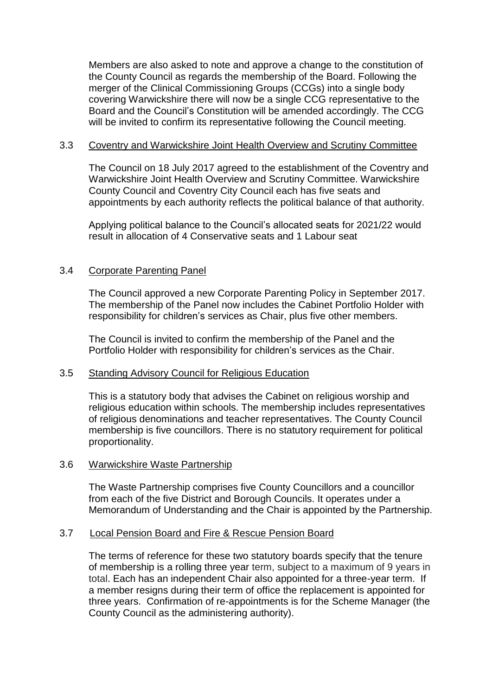Members are also asked to note and approve a change to the constitution of the County Council as regards the membership of the Board. Following the merger of the Clinical Commissioning Groups (CCGs) into a single body covering Warwickshire there will now be a single CCG representative to the Board and the Council's Constitution will be amended accordingly. The CCG will be invited to confirm its representative following the Council meeting.

#### 3.3 Coventry and Warwickshire Joint Health Overview and Scrutiny Committee

The Council on 18 July 2017 agreed to the establishment of the Coventry and Warwickshire Joint Health Overview and Scrutiny Committee. Warwickshire County Council and Coventry City Council each has five seats and appointments by each authority reflects the political balance of that authority.

Applying political balance to the Council's allocated seats for 2021/22 would result in allocation of 4 Conservative seats and 1 Labour seat

### 3.4 Corporate Parenting Panel

The Council approved a new Corporate Parenting Policy in September 2017. The membership of the Panel now includes the Cabinet Portfolio Holder with responsibility for children's services as Chair, plus five other members.

The Council is invited to confirm the membership of the Panel and the Portfolio Holder with responsibility for children's services as the Chair.

#### 3.5 Standing Advisory Council for Religious Education

This is a statutory body that advises the Cabinet on religious worship and religious education within schools. The membership includes representatives of religious denominations and teacher representatives. The County Council membership is five councillors. There is no statutory requirement for political proportionality.

#### 3.6 Warwickshire Waste Partnership

The Waste Partnership comprises five County Councillors and a councillor from each of the five District and Borough Councils. It operates under a Memorandum of Understanding and the Chair is appointed by the Partnership.

#### 3.7 Local Pension Board and Fire & Rescue Pension Board

The terms of reference for these two statutory boards specify that the tenure of membership is a rolling three year term, subject to a maximum of 9 years in total. Each has an independent Chair also appointed for a three-year term. If a member resigns during their term of office the replacement is appointed for three years. Confirmation of re-appointments is for the Scheme Manager (the County Council as the administering authority).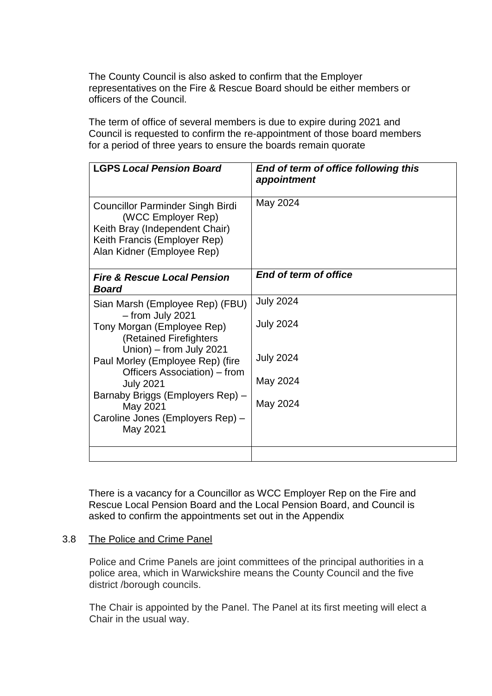The County Council is also asked to confirm that the Employer representatives on the Fire & Rescue Board should be either members or officers of the Council.

The term of office of several members is due to expire during 2021 and Council is requested to confirm the re-appointment of those board members for a period of three years to ensure the boards remain quorate

| <b>LGPS Local Pension Board</b>                                                                                                                               | End of term of office following this<br>appointment |
|---------------------------------------------------------------------------------------------------------------------------------------------------------------|-----------------------------------------------------|
| <b>Councillor Parminder Singh Birdi</b><br>(WCC Employer Rep)<br>Keith Bray (Independent Chair)<br>Keith Francis (Employer Rep)<br>Alan Kidner (Employee Rep) | May 2024                                            |
| <b>Fire &amp; Rescue Local Pension</b><br><b>Board</b>                                                                                                        | End of term of office                               |
| Sian Marsh (Employee Rep) (FBU)<br>- from July 2021                                                                                                           | <b>July 2024</b>                                    |
| Tony Morgan (Employee Rep)<br>(Retained Firefighters<br>Union) – from July 2021                                                                               | <b>July 2024</b>                                    |
| Paul Morley (Employee Rep) (fire<br>Officers Association) – from                                                                                              | <b>July 2024</b>                                    |
| <b>July 2021</b><br>Barnaby Briggs (Employers Rep) -                                                                                                          | May 2024                                            |
| May 2021                                                                                                                                                      | May 2024                                            |
| Caroline Jones (Employers Rep) -<br>May 2021                                                                                                                  |                                                     |
|                                                                                                                                                               |                                                     |

There is a vacancy for a Councillor as WCC Employer Rep on the Fire and Rescue Local Pension Board and the Local Pension Board, and Council is asked to confirm the appointments set out in the Appendix

#### 3.8 The Police and Crime Panel

Police and Crime Panels are joint committees of the principal authorities in a police area, which in Warwickshire means the County Council and the five district /borough councils.

The Chair is appointed by the Panel. The Panel at its first meeting will elect a Chair in the usual way.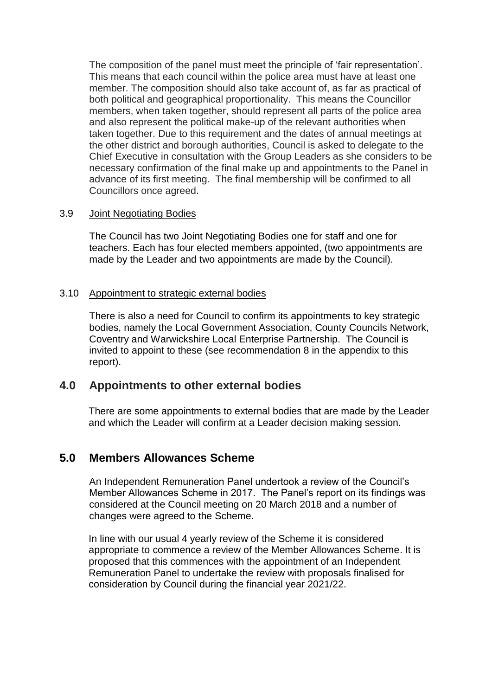The composition of the panel must meet the principle of 'fair representation'. This means that each council within the police area must have at least one member. The composition should also take account of, as far as practical of both political and geographical proportionality. This means the Councillor members, when taken together, should represent all parts of the police area and also represent the political make-up of the relevant authorities when taken together. Due to this requirement and the dates of annual meetings at the other district and borough authorities, Council is asked to delegate to the Chief Executive in consultation with the Group Leaders as she considers to be necessary confirmation of the final make up and appointments to the Panel in advance of its first meeting. The final membership will be confirmed to all Councillors once agreed.

#### 3.9 Joint Negotiating Bodies

The Council has two Joint Negotiating Bodies one for staff and one for teachers. Each has four elected members appointed, (two appointments are made by the Leader and two appointments are made by the Council).

#### 3.10 Appointment to strategic external bodies

There is also a need for Council to confirm its appointments to key strategic bodies, namely the Local Government Association, County Councils Network, Coventry and Warwickshire Local Enterprise Partnership. The Council is invited to appoint to these (see recommendation 8 in the appendix to this report).

## **4.0 Appointments to other external bodies**

There are some appointments to external bodies that are made by the Leader and which the Leader will confirm at a Leader decision making session.

## **5.0 Members Allowances Scheme**

An Independent Remuneration Panel undertook a review of the Council's Member Allowances Scheme in 2017. The Panel's report on its findings was considered at the Council meeting on 20 March 2018 and a number of changes were agreed to the Scheme.

In line with our usual 4 yearly review of the Scheme it is considered appropriate to commence a review of the Member Allowances Scheme. It is proposed that this commences with the appointment of an Independent Remuneration Panel to undertake the review with proposals finalised for consideration by Council during the financial year 2021/22.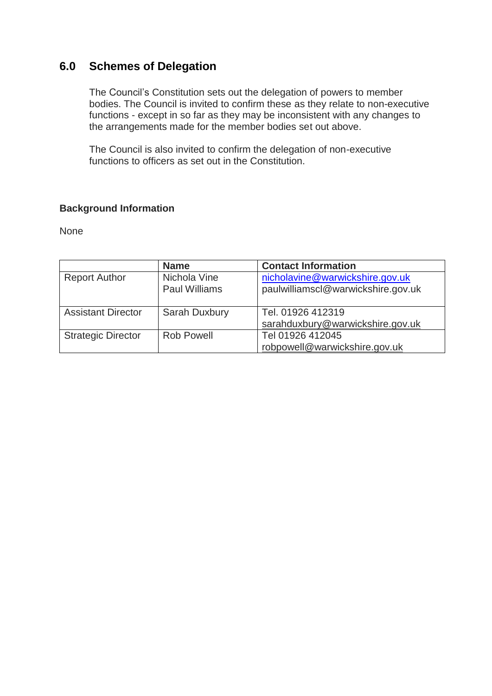# **6.0 Schemes of Delegation**

The Council's Constitution sets out the delegation of powers to member bodies. The Council is invited to confirm these as they relate to non-executive functions - except in so far as they may be inconsistent with any changes to the arrangements made for the member bodies set out above.

The Council is also invited to confirm the delegation of non-executive functions to officers as set out in the Constitution.

## **Background Information**

None

|                           | <b>Name</b>                          | <b>Contact Information</b>                                            |
|---------------------------|--------------------------------------|-----------------------------------------------------------------------|
| <b>Report Author</b>      | Nichola Vine<br><b>Paul Williams</b> | nicholavine@warwickshire.gov.uk<br>paulwilliamscl@warwickshire.gov.uk |
| <b>Assistant Director</b> |                                      | Tel. 01926 412319                                                     |
|                           | Sarah Duxbury                        |                                                                       |
|                           |                                      | sarahduxbury@warwickshire.gov.uk                                      |
| <b>Strategic Director</b> | Rob Powell                           | Tel 01926 412045                                                      |
|                           |                                      | robpowell@warwickshire.gov.uk                                         |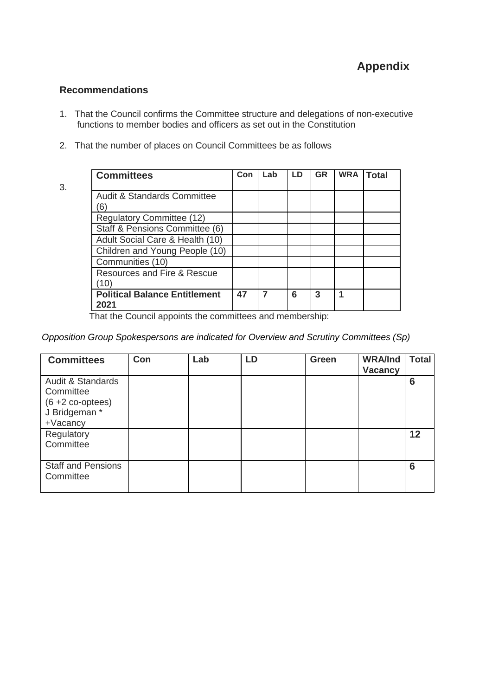### **Recommendations**

- 1. That the Council confirms the Committee structure and delegations of non-executive functions to member bodies and officers as set out in the Constitution
- 2. That the number of places on Council Committees be as follows
- 3.

| <b>Committees</b>                      |    | Lab | LD | <b>GR</b> | <b>WRA</b> | <b>Total</b> |
|----------------------------------------|----|-----|----|-----------|------------|--------------|
|                                        |    |     |    |           |            |              |
| <b>Audit &amp; Standards Committee</b> |    |     |    |           |            |              |
| 6                                      |    |     |    |           |            |              |
| <b>Regulatory Committee (12)</b>       |    |     |    |           |            |              |
| Staff & Pensions Committee (6)         |    |     |    |           |            |              |
| Adult Social Care & Health (10)        |    |     |    |           |            |              |
| Children and Young People (10)         |    |     |    |           |            |              |
| Communities (10)                       |    |     |    |           |            |              |
| Resources and Fire & Rescue            |    |     |    |           |            |              |
| (10                                    |    |     |    |           |            |              |
| <b>Political Balance Entitlement</b>   | 47 |     | 6  | 3         |            |              |
| 2021                                   |    |     |    |           |            |              |

That the Council appoints the committees and membership:

#### *Opposition Group Spokespersons are indicated for Overview and Scrutiny Committees (Sp)*

| <b>Committees</b>                                                                                    | Con | Lab | LD | Green | <b>WRA/Ind</b><br><b>Vacancy</b> | <b>Total</b> |
|------------------------------------------------------------------------------------------------------|-----|-----|----|-------|----------------------------------|--------------|
| <b>Audit &amp; Standards</b><br>Committee<br>$(6 + 2 co\text{-optees})$<br>J Bridgeman *<br>+Vacancy |     |     |    |       |                                  | 6            |
| Regulatory<br>Committee                                                                              |     |     |    |       |                                  | 12           |
| <b>Staff and Pensions</b><br>Committee                                                               |     |     |    |       |                                  | 6            |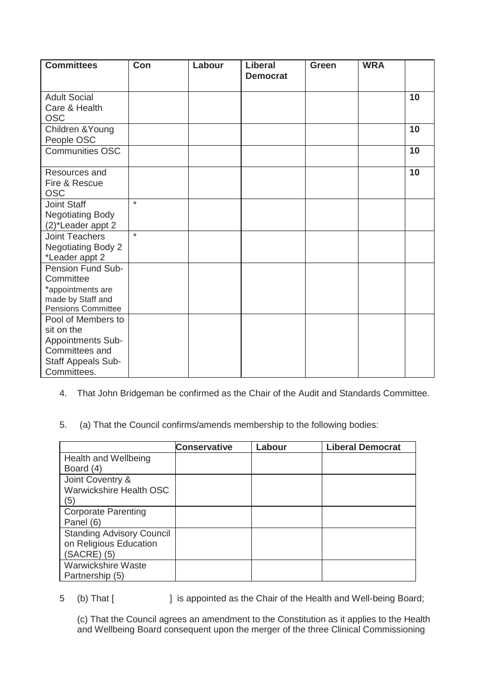| <b>Committees</b>                                                                                            | Con     | Labour | <b>Liberal</b><br><b>Democrat</b> | <b>Green</b> | <b>WRA</b> |    |
|--------------------------------------------------------------------------------------------------------------|---------|--------|-----------------------------------|--------------|------------|----|
| <b>Adult Social</b><br>Care & Health<br><b>OSC</b>                                                           |         |        |                                   |              |            | 10 |
| Children & Young<br>People OSC                                                                               |         |        |                                   |              |            | 10 |
| <b>Communities OSC</b>                                                                                       |         |        |                                   |              |            | 10 |
| Resources and<br>Fire & Rescue<br><b>OSC</b>                                                                 |         |        |                                   |              |            | 10 |
| <b>Joint Staff</b><br><b>Negotiating Body</b><br>(2)*Leader appt 2                                           | $\star$ |        |                                   |              |            |    |
| <b>Joint Teachers</b><br><b>Negotiating Body 2</b><br>*Leader appt 2                                         | $\star$ |        |                                   |              |            |    |
| Pension Fund Sub-<br>Committee<br>*appointments are<br>made by Staff and<br><b>Pensions Committee</b>        |         |        |                                   |              |            |    |
| Pool of Members to<br>sit on the<br>Appointments Sub-<br>Committees and<br>Staff Appeals Sub-<br>Committees. |         |        |                                   |              |            |    |

- 4. That John Bridgeman be confirmed as the Chair of the Audit and Standards Committee.
- 5. (a) That the Council confirms/amends membership to the following bodies:

|                                  | <b>Conservative</b> | Labour | <b>Liberal Democrat</b> |
|----------------------------------|---------------------|--------|-------------------------|
| Health and Wellbeing             |                     |        |                         |
| Board (4)                        |                     |        |                         |
| Joint Coventry &                 |                     |        |                         |
| Warwickshire Health OSC          |                     |        |                         |
| (5)                              |                     |        |                         |
| <b>Corporate Parenting</b>       |                     |        |                         |
| Panel (6)                        |                     |        |                         |
| <b>Standing Advisory Council</b> |                     |        |                         |
| on Religious Education           |                     |        |                         |
| (SACRE) (5)                      |                     |        |                         |
| <b>Warwickshire Waste</b>        |                     |        |                         |
| Partnership (5)                  |                     |        |                         |

5 (b) That [ ] is appointed as the Chair of the Health and Well-being Board;

(c) That the Council agrees an amendment to the Constitution as it applies to the Health and Wellbeing Board consequent upon the merger of the three Clinical Commissioning